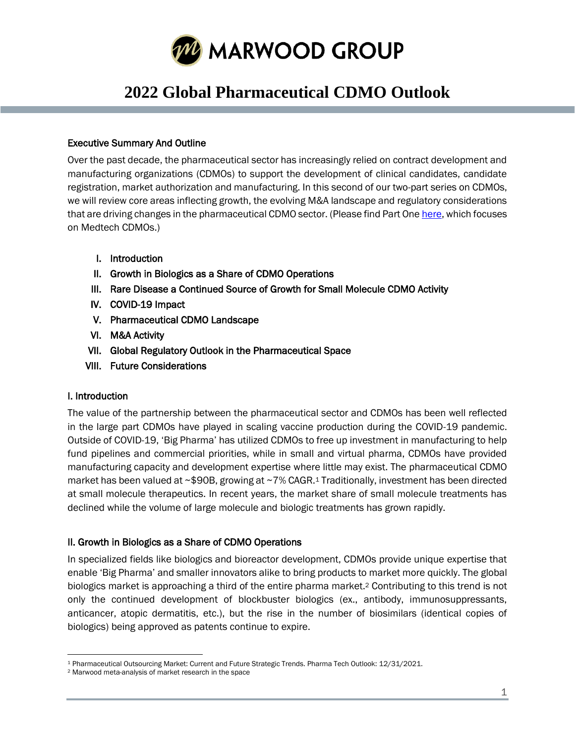

# **2022 Global Pharmaceutical CDMO Outlook**

#### Executive Summary And Outline

Over the past decade, the pharmaceutical sector has increasingly relied on contract development and manufacturing organizations (CDMOs) to support the development of clinical candidates, candidate registration, market authorization and manufacturing. In this second of our two-part series on CDMOs, we will review core areas inflecting growth, the evolving M&A landscape and regulatory considerations that are driving changes in the pharmaceutical CDMO sector. (Please find Part On[e here,](https://www.marwoodgroup.com/wp-content/uploads/2022/02/Medtech-CDMO-Whitepaper.pdf) which focuses on Medtech CDMOs.)

- I. Introduction
- II. Growth in Biologics as a Share of CDMO Operations
- III. Rare Disease a Continued Source of Growth for Small Molecule CDMO Activity
- IV. COVID-19 Impact
- V. Pharmaceutical CDMO Landscape
- VI. M&A Activity
- VII. Global Regulatory Outlook in the Pharmaceutical Space
- VIII. Future Considerations

### I. Introduction

The value of the partnership between the pharmaceutical sector and CDMOs has been well reflected in the large part CDMOs have played in scaling vaccine production during the COVID-19 pandemic. Outside of COVID-19, 'Big Pharma' has utilized CDMOs to free up investment in manufacturing to help fund pipelines and commercial priorities, while in small and virtual pharma, CDMOs have provided manufacturing capacity and development expertise where little may exist. The pharmaceutical CDMO market has been valued at ~\$90B, growing at ~7% CAGR.<sup>1</sup> Traditionally, investment has been directed at small molecule therapeutics. In recent years, the market share of small molecule treatments has declined while the volume of large molecule and biologic treatments has grown rapidly.

### II. Growth in Biologics as a Share of CDMO Operations

In specialized fields like biologics and bioreactor development, CDMOs provide unique expertise that enable 'Big Pharma' and smaller innovators alike to bring products to market more quickly. The global biologics market is approaching a third of the entire pharma market.<sup>2</sup> Contributing to this trend is not only the continued development of blockbuster biologics (ex., antibody, immunosuppressants, anticancer, atopic dermatitis, etc.), but the rise in the number of biosimilars (identical copies of biologics) being approved as patents continue to expire.

<sup>1</sup> Pharmaceutical Outsourcing Market: Current and Future Strategic Trends. Pharma Tech Outlook: 12/31/2021.

<sup>2</sup> Marwood meta-analysis of market research in the space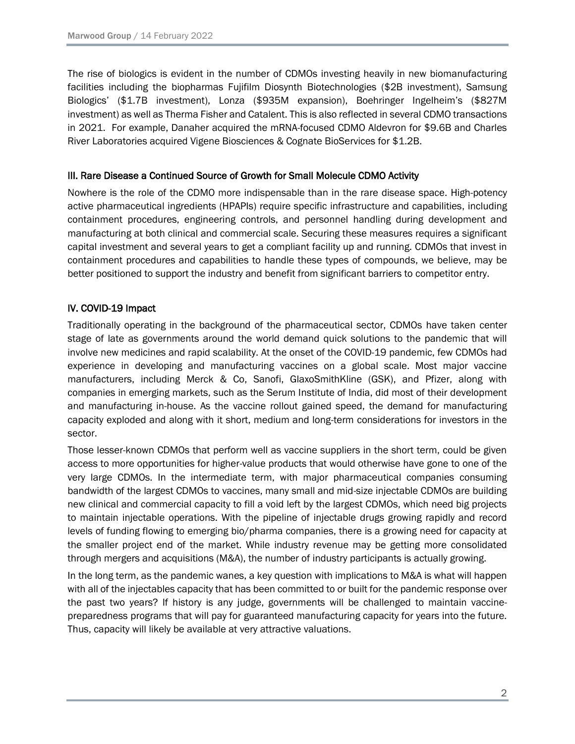The rise of biologics is evident in the number of CDMOs investing heavily in new biomanufacturing facilities including the biopharmas Fujifilm Diosynth Biotechnologies (\$2B investment), Samsung Biologics' (\$1.7B investment), Lonza (\$935M expansion), Boehringer Ingelheim's (\$827M investment) as well as Therma Fisher and Catalent. This is also reflected in several CDMO transactions in 2021. For example, Danaher acquired the mRNA-focused CDMO Aldevron for \$9.6B and Charles River Laboratories acquired Vigene Biosciences & Cognate BioServices for \$1.2B.

## III. Rare Disease a Continued Source of Growth for Small Molecule CDMO Activity

Nowhere is the role of the CDMO more indispensable than in the rare disease space. High-potency active pharmaceutical ingredients (HPAPIs) require specific infrastructure and capabilities, including containment procedures, engineering controls, and personnel handling during development and manufacturing at both clinical and commercial scale. Securing these measures requires a significant capital investment and several years to get a compliant facility up and running. CDMOs that invest in containment procedures and capabilities to handle these types of compounds, we believe, may be better positioned to support the industry and benefit from significant barriers to competitor entry.

# IV. COVID-19 Impact

Traditionally operating in the background of the pharmaceutical sector, CDMOs have taken center stage of late as governments around the world demand quick solutions to the pandemic that will involve new medicines and rapid scalability. At the onset of the COVID-19 pandemic, few CDMOs had experience in developing and manufacturing vaccines on a global scale. Most major vaccine manufacturers, including Merck & Co, Sanofi, GlaxoSmithKline (GSK), and Pfizer, along with companies in emerging markets, such as the Serum Institute of India, did most of their development and manufacturing in-house. As the vaccine rollout gained speed, the demand for manufacturing capacity exploded and along with it short, medium and long-term considerations for investors in the sector.

Those lesser-known CDMOs that perform well as vaccine suppliers in the short term, could be given access to more opportunities for higher-value products that would otherwise have gone to one of the very large CDMOs. In the intermediate term, with major pharmaceutical companies consuming bandwidth of the largest CDMOs to vaccines, many small and mid-size injectable CDMOs are building new clinical and commercial capacity to fill a void left by the largest CDMOs, which need big projects to maintain injectable operations. With the pipeline of injectable drugs growing rapidly and record levels of funding flowing to emerging bio/pharma companies, there is a growing need for capacity at the smaller project end of the market. While industry revenue may be getting more consolidated through mergers and acquisitions (M&A), the number of industry participants is actually growing.

In the long term, as the pandemic wanes, a key question with implications to M&A is what will happen with all of the injectables capacity that has been committed to or built for the pandemic response over the past two years? If history is any judge, governments will be challenged to maintain vaccinepreparedness programs that will pay for guaranteed manufacturing capacity for years into the future. Thus, capacity will likely be available at very attractive valuations.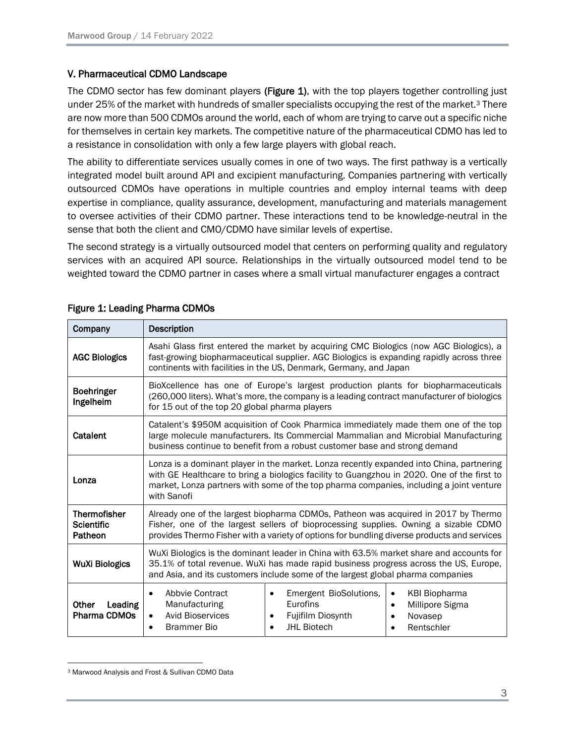#### V. Pharmaceutical CDMO Landscape

The CDMO sector has few dominant players (Figure 1), with the top players together controlling just under 25% of the market with hundreds of smaller specialists occupying the rest of the market.<sup>3</sup> There are now more than 500 CDMOs around the world, each of whom are trying to carve out a specific niche for themselves in certain key markets. The competitive nature of the pharmaceutical CDMO has led to a resistance in consolidation with only a few large players with global reach.

The ability to differentiate services usually comes in one of two ways. The first pathway is a vertically integrated model built around API and excipient manufacturing. Companies partnering with vertically outsourced CDMOs have operations in multiple countries and employ internal teams with deep expertise in compliance, quality assurance, development, manufacturing and materials management to oversee activities of their CDMO partner. These interactions tend to be knowledge-neutral in the sense that both the client and CMO/CDMO have similar levels of expertise.

The second strategy is a virtually outsourced model that centers on performing quality and regulatory services with an acquired API source. Relationships in the virtually outsourced model tend to be weighted toward the CDMO partner in cases where a small virtual manufacturer engages a contract

| Company                                             | Description                                                                                                                                                                                                                                                                                                  |
|-----------------------------------------------------|--------------------------------------------------------------------------------------------------------------------------------------------------------------------------------------------------------------------------------------------------------------------------------------------------------------|
| <b>AGC Biologics</b>                                | Asahi Glass first entered the market by acquiring CMC Biologics (now AGC Biologics), a<br>fast-growing biopharmaceutical supplier. AGC Biologics is expanding rapidly across three<br>continents with facilities in the US, Denmark, Germany, and Japan                                                      |
| <b>Boehringer</b><br>Ingelheim                      | BioXcellence has one of Europe's largest production plants for biopharmaceuticals<br>(260,000 liters). What's more, the company is a leading contract manufacturer of biologics<br>for 15 out of the top 20 global pharma players                                                                            |
| Catalent                                            | Catalent's \$950M acquisition of Cook Pharmica immediately made them one of the top<br>large molecule manufacturers. Its Commercial Mammalian and Microbial Manufacturing<br>business continue to benefit from a robust customer base and strong demand                                                      |
| Lonza                                               | Lonza is a dominant player in the market. Lonza recently expanded into China, partnering<br>with GE Healthcare to bring a biologics facility to Guangzhou in 2020. One of the first to<br>market, Lonza partners with some of the top pharma companies, including a joint venture<br>with Sanofi             |
| <b>Thermofisher</b><br><b>Scientific</b><br>Patheon | Already one of the largest biopharma CDMOs, Patheon was acquired in 2017 by Thermo<br>Fisher, one of the largest sellers of bioprocessing supplies. Owning a sizable CDMO<br>provides Thermo Fisher with a variety of options for bundling diverse products and services                                     |
| <b>WuXi Biologics</b>                               | WuXi Biologics is the dominant leader in China with 63.5% market share and accounts for<br>35.1% of total revenue. WuXi has made rapid business progress across the US, Europe,<br>and Asia, and its customers include some of the largest global pharma companies                                           |
| Leading<br>Other<br>Pharma CDMOs                    | Abbyje Contract<br>Emergent BioSolutions,<br><b>KBI Biopharma</b><br>$\bullet$<br>$\bullet$<br>$\bullet$<br>Eurofins<br>Manufacturing<br>Millipore Sigma<br>$\bullet$<br><b>Avid Bioservices</b><br>Fujifilm Diosynth<br>Novasep<br>$\bullet$<br><b>JHL Biotech</b><br><b>Brammer Bio</b><br>Rentschler<br>٠ |

#### Figure 1: Leading Pharma CDMOs

<sup>3</sup> Marwood Analysis and Frost & Sullivan CDMO Data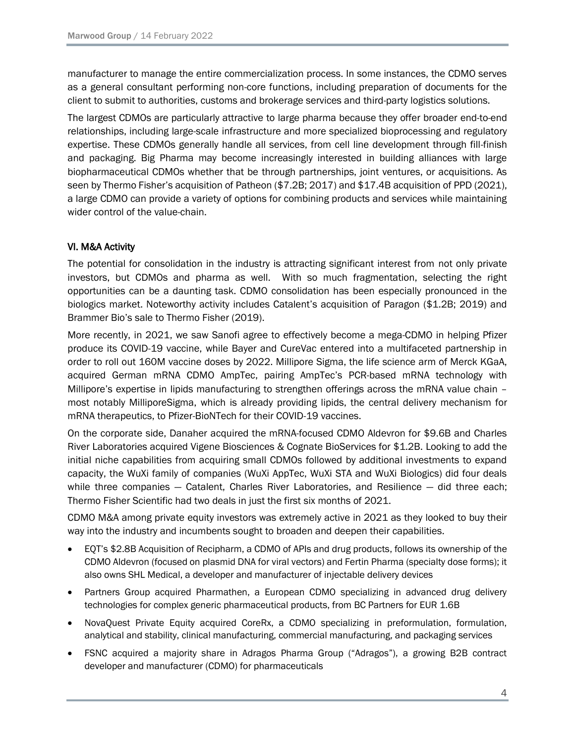manufacturer to manage the entire commercialization process. In some instances, the CDMO serves as a general consultant performing non-core functions, including preparation of documents for the client to submit to authorities, customs and brokerage services and third-party logistics solutions.

The largest CDMOs are particularly attractive to large pharma because they offer broader end-to-end relationships, including large-scale infrastructure and more specialized bioprocessing and regulatory expertise. These CDMOs generally handle all services, from cell line development through fill-finish and packaging. Big Pharma may become increasingly interested in building alliances with large biopharmaceutical CDMOs whether that be through partnerships, joint ventures, or acquisitions. As seen by Thermo Fisher's acquisition of Patheon (\$7.2B; 2017) and \$17.4B acquisition of PPD (2021), a large CDMO can provide a variety of options for combining products and services while maintaining wider control of the value-chain.

# VI. M&A Activity

The potential for consolidation in the industry is attracting significant interest from not only private investors, but CDMOs and pharma as well. With so much fragmentation, selecting the right opportunities can be a daunting task. CDMO consolidation has been especially pronounced in the biologics market. Noteworthy activity includes Catalent's acquisition of Paragon (\$1.2B; 2019) and Brammer Bio's sale to Thermo Fisher (2019).

More recently, in 2021, we saw Sanofi agree to effectively become a mega-CDMO in helping Pfizer produce its COVID-19 vaccine, while Bayer and CureVac entered into a multifaceted partnership in order to roll out 160M vaccine doses by 2022. Millipore Sigma, the life science arm of Merck KGaA, acquired German mRNA CDMO AmpTec, pairing AmpTec's PCR-based mRNA technology with Millipore's expertise in lipids manufacturing to strengthen offerings across the mRNA value chain – most notably MilliporeSigma, which is already providing lipids, the central delivery mechanism for mRNA therapeutics, to Pfizer-BioNTech for their COVID-19 vaccines.

On the corporate side, Danaher acquired the mRNA-focused CDMO Aldevron for \$9.6B and Charles River Laboratories acquired Vigene Biosciences & Cognate BioServices for \$1.2B. Looking to add the initial niche capabilities from acquiring small CDMOs followed by additional investments to expand capacity, the WuXi family of companies (WuXi AppTec, WuXi STA and WuXi Biologics) did four deals while three companies  $-$  Catalent, Charles River Laboratories, and Resilience  $-$  did three each; Thermo Fisher Scientific had two deals in just the first six months of 2021.

CDMO M&A among private equity investors was extremely active in 2021 as they looked to buy their way into the industry and incumbents sought to broaden and deepen their capabilities.

- EQT's \$2.8B Acquisition of Recipharm, a CDMO of APIs and drug products, follows its ownership of the CDMO Aldevron (focused on plasmid DNA for viral vectors) and Fertin Pharma (specialty dose forms); it also owns SHL Medical, a developer and manufacturer of injectable delivery devices
- Partners Group acquired Pharmathen, a European CDMO specializing in advanced drug delivery technologies for complex generic pharmaceutical products, from BC Partners for EUR 1.6B
- NovaQuest Private Equity acquired CoreRx, a CDMO specializing in preformulation, formulation, analytical and stability, clinical manufacturing, commercial manufacturing, and packaging services
- FSNC acquired a majority share in Adragos Pharma Group ("Adragos"), a growing B2B contract developer and manufacturer (CDMO) for pharmaceuticals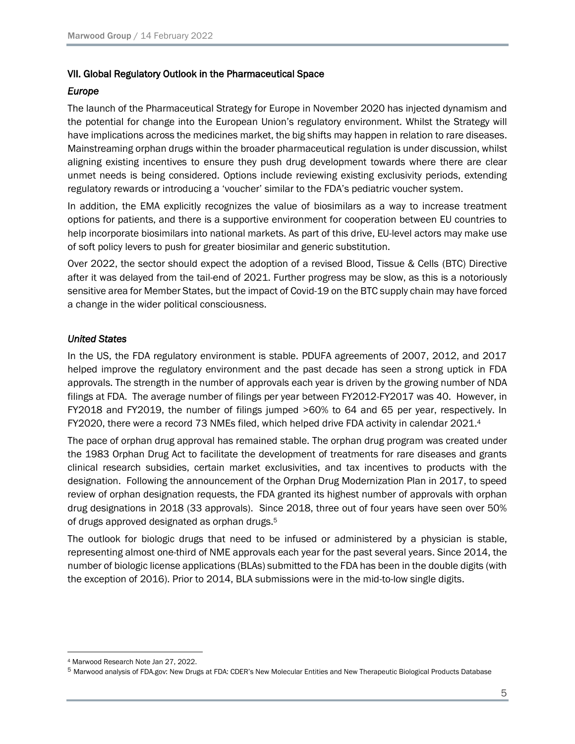#### VII. Global Regulatory Outlook in the Pharmaceutical Space

#### *Europe*

The launch of the Pharmaceutical Strategy for Europe in November 2020 has injected dynamism and the potential for change into the European Union's regulatory environment. Whilst the Strategy will have implications across the medicines market, the big shifts may happen in relation to rare diseases. Mainstreaming orphan drugs within the broader pharmaceutical regulation is under discussion, whilst aligning existing incentives to ensure they push drug development towards where there are clear unmet needs is being considered. Options include reviewing existing exclusivity periods, extending regulatory rewards or introducing a 'voucher' similar to the FDA's pediatric voucher system.

In addition, the EMA explicitly recognizes the value of biosimilars as a way to increase treatment options for patients, and there is a supportive environment for cooperation between EU countries to help incorporate biosimilars into national markets. As part of this drive, EU-level actors may make use of soft policy levers to push for greater biosimilar and generic substitution.

Over 2022, the sector should expect the adoption of a revised Blood, Tissue & Cells (BTC) Directive after it was delayed from the tail-end of 2021. Further progress may be slow, as this is a notoriously sensitive area for Member States, but the impact of Covid-19 on the BTC supply chain may have forced a change in the wider political consciousness.

#### *United States*

In the US, the FDA regulatory environment is stable. PDUFA agreements of 2007, 2012, and 2017 helped improve the regulatory environment and the past decade has seen a strong uptick in FDA approvals. The strength in the number of approvals each year is driven by the growing number of NDA filings at FDA. The average number of filings per year between FY2012-FY2017 was 40. However, in FY2018 and FY2019, the number of filings jumped >60% to 64 and 65 per year, respectively. In FY2020, there were a record 73 NMEs filed, which helped drive FDA activity in calendar 2021.<sup>4</sup>

The pace of orphan drug approval has remained stable. The orphan drug program was created under the 1983 Orphan Drug Act to facilitate the development of treatments for rare diseases and grants clinical research subsidies, certain market exclusivities, and tax incentives to products with the designation. Following the announcement of the Orphan Drug Modernization Plan in 2017, to speed review of orphan designation requests, the FDA granted its highest number of approvals with orphan drug designations in 2018 (33 approvals). Since 2018, three out of four years have seen over 50% of drugs approved designated as orphan drugs.<sup>5</sup>

The outlook for biologic drugs that need to be infused or administered by a physician is stable, representing almost one-third of NME approvals each year for the past several years. Since 2014, the number of biologic license applications (BLAs) submitted to the FDA has been in the double digits (with the exception of 2016). Prior to 2014, BLA submissions were in the mid-to-low single digits.

<sup>4</sup> Marwood Research Note Jan 27, 2022.

<sup>5</sup> Marwood analysis of FDA.gov: New Drugs at FDA: CDER's New Molecular Entities and New Therapeutic Biological Products Database